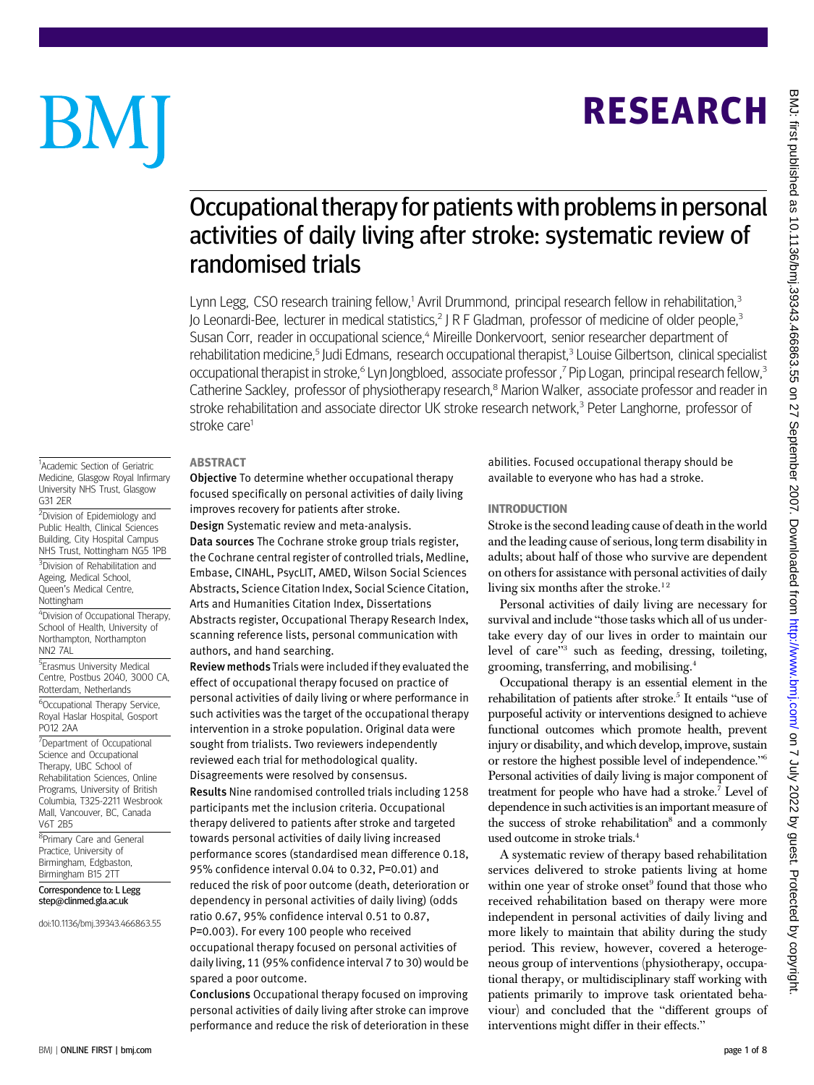# **RESEARCH** RESEARCH

# BM

<sup>1</sup>Academic Section of Geriatric Medicine, Glasgow Royal Infirmary University NHS Trust, Glasgow

<sup>2</sup>Division of Epidemiology and Public Health, Clinical Sciences Building, City Hospital Campus NHS Trust, Nottingham NG5 1PB <sup>3</sup>Division of Rehabilitation and Ageing, Medical School, Queen's Medical Centre,

4 Division of Occupational Therapy, School of Health, University of Northampton, Northampton

<sup>5</sup> Erasmus University Medical Centre, Postbus 2040, 3000 CA, Rotterdam, Netherlands 6 Occupational Therapy Service, Royal Haslar Hospital, Gosport

<sup>7</sup>Department of Occupational Science and Occupational Therapy, UBC School of Rehabilitation Sciences, Online Programs, University of British Columbia, T325-2211 Wesbrook Mall, Vancouver, BC, Canada

<sup>8</sup>Primary Care and General Practice, University of Birmingham, Edgbaston, Birmingham B15 2TT Correspondence to: L Legg step@clinmed.gla.ac.uk

doi:10.1136/bmj.39343.466863.55

G31 2ER

Nottingham

NN<sub>2</sub> 7AL

PO12 2AA

V6T 2B5

# Occupational therapy for patients with problems in personal activities of daily living after stroke: systematic review of randomised trials

Lynn Legg, CSO research training fellow,<sup>1</sup> Avril Drummond, principal research fellow in rehabilitation,<sup>3</sup> Jo Leonardi-Bee, lecturer in medical statistics,<sup>2</sup> J R F Gladman, professor of medicine of older people,<sup>3</sup> Susan Corr, reader in occupational science,<sup>4</sup> Mireille Donkervoort, senior researcher department of rehabilitation medicine,<sup>5</sup> Judi Edmans, research occupational therapist,<sup>3</sup> Louise Gilbertson, clinical specialist occupational therapist in stroke,<sup>6</sup> Lyn Jongbloed, associate professor ,<sup>7</sup> Pip Logan, principal research fellow,<sup>3</sup> Catherine Sackley, professor of physiotherapy research,<sup>8</sup> Marion Walker, associate professor and reader in stroke rehabilitation and associate director UK stroke research network.<sup>3</sup> Peter Langhorne, professor of stroke care<sup>1</sup>

#### **ABSTRACT**

-----------<br>Objective To determine whether occupational therapy focused specifically on personal activities of daily living improves recovery for patients after stroke.

Design Systematic review and meta-analysis.

Data sources The Cochrane stroke group trials register, the Cochrane central register of controlled trials, Medline, Embase, CINAHL, PsycLIT, AMED, Wilson Social Sciences Abstracts, Science Citation Index, Social Science Citation, Arts and Humanities Citation Index, Dissertations Abstracts register, Occupational Therapy Research Index, scanning reference lists, personal communication with authors, and hand searching.

Review methods Trials were included if they evaluated the effect of occupational therapy focused on practice of personal activities of daily living or where performance in such activities was the target of the occupational therapy intervention in a stroke population. Original data were sought from trialists. Two reviewers independently reviewed each trial for methodological quality. Disagreements were resolved by consensus. Results Nine randomised controlled trials including 1258 participants met the inclusion criteria. Occupational therapy delivered to patients after stroke and targeted towards personal activities of daily living increased performance scores (standardised mean difference 0.18, 95% confidence interval 0.04 to 0.32, P=0.01) and reduced the risk of poor outcome (death, deterioration or dependency in personal activities of daily living) (odds ratio 0.67, 95% confidence interval 0.51 to 0.87, P=0.003). For every 100 people who received occupational therapy focused on personal activities of daily living, 11 (95% confidence interval 7 to 30) would be spared a poor outcome.

Conclusions Occupational therapy focused on improving personal activities of daily living after stroke can improve performance and reduce the risk of deterioration in these abilities. Focused occupational therapy should be available to everyone who has had a stroke.

Interact of the second leading cause of death in the world and the leading cause of serious, long term disability in adults; about half of those who survive are dependent on others for assistance with personal activities of daily living six months after the stroke.<sup>12</sup>

Personal activities of daily living are necessary for survival and include "those tasks which all of us undertake every day of our lives in order to maintain our level of care"<sup>3</sup> such as feeding, dressing, toileting, grooming, transferring, and mobilising.4

Occupational therapy is an essential element in the rehabilitation of patients after stroke.<sup>5</sup> It entails "use of purposeful activity or interventions designed to achieve functional outcomes which promote health, prevent injury or disability, and which develop, improve, sustain or restore the highest possible level of independence."<sup>6</sup> Personal activities of daily living is major component of treatment for people who have had a stroke.<sup>7</sup> Level of dependence in such activities is an important measure of the success of stroke rehabilitation<sup>8</sup> and a commonly used outcome in stroke trials.<sup>4</sup>

A systematic review of therapy based rehabilitation services delivered to stroke patients living at home within one year of stroke onset<sup>9</sup> found that those who received rehabilitation based on therapy were more independent in personal activities of daily living and more likely to maintain that ability during the study period. This review, however, covered a heterogeneous group of interventions (physiotherapy, occupational therapy, or multidisciplinary staff working with patients primarily to improve task orientated behaviour) and concluded that the "different groups of interventions might differ in their effects."

on 7 July 2022 by guest. Protected by copyright. <http://www.bmj.com/> BMJ: first published as 10.1136/bmj.39343.466863.55 on 27 September 2007. Downloaded from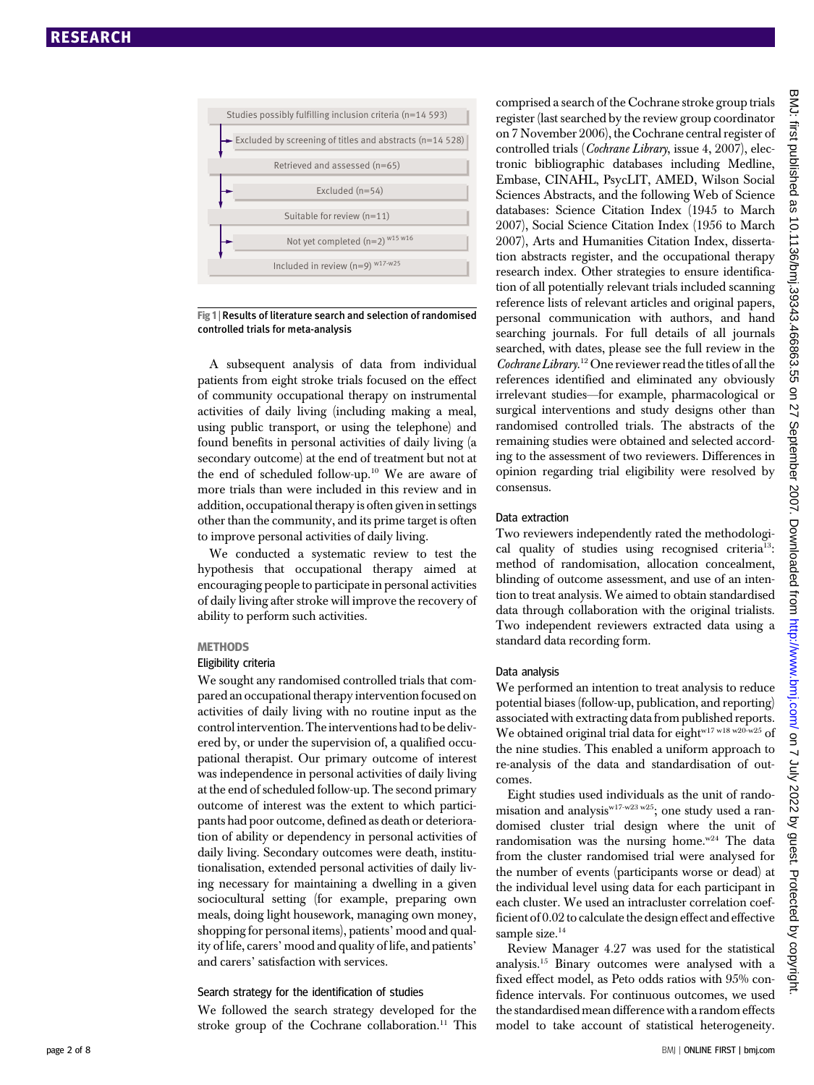

Fig 1 | Results of literature search and selection of randomised controlled trials for meta-analysis

A subsequent analysis of data from individual patients from eight stroke trials focused on the effect of community occupational therapy on instrumental activities of daily living (including making a meal, using public transport, or using the telephone) and found benefits in personal activities of daily living (a secondary outcome) at the end of treatment but not at the end of scheduled follow-up.10 We are aware of more trials than were included in this review and in addition, occupational therapy is often given in settings other than the community, and its prime target is often to improve personal activities of daily living.

We conducted a systematic review to test the hypothesis that occupational therapy aimed at encouraging people to participate in personal activities of daily living after stroke will improve the recovery of ability to perform such activities.

#### **METHODS**

## Eligibility criteria

We sought any randomised controlled trials that compared an occupational therapy intervention focused on activities of daily living with no routine input as the control intervention. The interventions had to be delivered by, or under the supervision of, a qualified occupational therapist. Our primary outcome of interest was independence in personal activities of daily living at the end of scheduled follow-up. The second primary outcome of interest was the extent to which participants had poor outcome, defined as death or deterioration of ability or dependency in personal activities of daily living. Secondary outcomes were death, institutionalisation, extended personal activities of daily living necessary for maintaining a dwelling in a given sociocultural setting (for example, preparing own meals, doing light housework, managing own money, shopping for personal items), patients' mood and quality of life, carers' mood and quality of life, and patients' and carers' satisfaction with services.

#### Search strategy for the identification of studies

We followed the search strategy developed for the stroke group of the Cochrane collaboration.<sup>11</sup> This comprised a search of the Cochrane stroke group trials register (last searched by the review group coordinator on 7 November 2006), the Cochrane central register of controlled trials (Cochrane Library, issue 4, 2007), electronic bibliographic databases including Medline, Embase, CINAHL, PsycLIT, AMED, Wilson Social Sciences Abstracts, and the following Web of Science databases: Science Citation Index (1945 to March 2007), Social Science Citation Index (1956 to March 2007), Arts and Humanities Citation Index, dissertation abstracts register, and the occupational therapy research index. Other strategies to ensure identification of all potentially relevant trials included scanning reference lists of relevant articles and original papers, personal communication with authors, and hand searching journals. For full details of all journals searched, with dates, please see the full review in the Cochrane Library. <sup>12</sup> One reviewer read the titles of all the references identified and eliminated any obviously irrelevant studies—for example, pharmacological or surgical interventions and study designs other than randomised controlled trials. The abstracts of the remaining studies were obtained and selected according to the assessment of two reviewers. Differences in opinion regarding trial eligibility were resolved by consensus.

#### Data extraction

Two reviewers independently rated the methodological quality of studies using recognised criteria<sup>13</sup>: method of randomisation, allocation concealment, blinding of outcome assessment, and use of an intention to treat analysis. We aimed to obtain standardised data through collaboration with the original trialists. Two independent reviewers extracted data using a standard data recording form.

#### Data analysis

We performed an intention to treat analysis to reduce potential biases (follow-up, publication, and reporting) associated with extracting data from published reports. We obtained original trial data for eight  $w^{17}$  w18  $w^{20}$  w25 of the nine studies. This enabled a uniform approach to re-analysis of the data and standardisation of outcomes.

Eight studies used individuals as the unit of randomisation and analysis $w^{17}w^{23}w^{25}$ ; one study used a randomised cluster trial design where the unit of randomisation was the nursing home. $w^{24}$  The data from the cluster randomised trial were analysed for the number of events (participants worse or dead) at the individual level using data for each participant in each cluster. We used an intracluster correlation coefficient of 0.02 to calculate the design effect and effective sample size.<sup>14</sup>

Review Manager 4.27 was used for the statistical analysis.15 Binary outcomes were analysed with a fixed effect model, as Peto odds ratios with 95% confidence intervals. For continuous outcomes, we used the standardised mean difference with a random effects model to take account of statistical heterogeneity.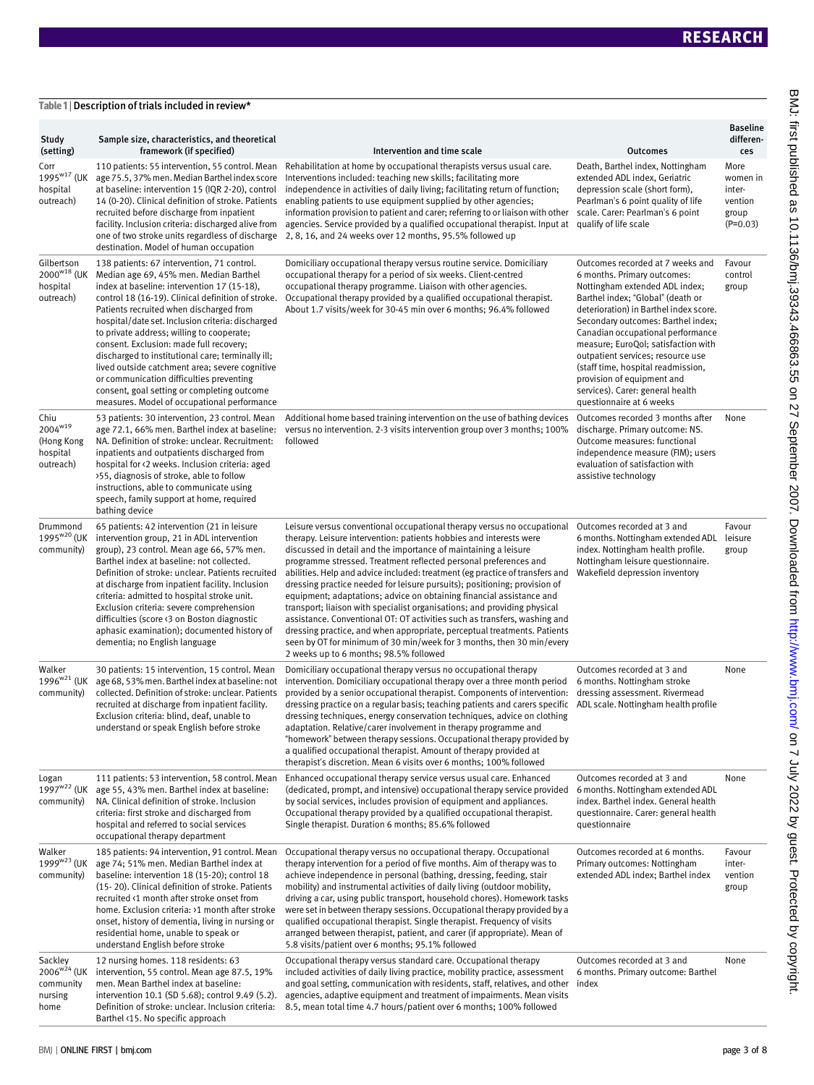#### Study (setting) Sample size, characteristics, and theoretical framework (if specified) The Context of the Intervention and time scale Theorem Coutcomes Baseline differences Corr  $1995<sup>w17</sup>$  (UK hospital outreach) 110 patients: 55 intervention, 55 control. Mean age 75.5, 37% men.Median Barthel index score at baseline: intervention 15 (IQR 2-20), control 14 (0-20). Clinical definition of stroke. Patients recruited before discharge from inpatient facility. Inclusion criteria: discharged alive from one of two stroke units regardless of discharge destination. Model of human occupation Rehabilitation at home by occupational therapists versus usual care. Interventions included: teaching new skills; facilitating more independence in activities of daily living; facilitating return of function; enabling patients to use equipment supplied by other agencies; information provision to patient and carer; referring to or liaison with other agencies. Service provided by a qualified occupational therapist. Input at 2, 8, 16, and 24 weeks over 12 months, 95.5% followed up Death, Barthel index, Nottingham extended ADL index, Geriatric depression scale (short form), Pearlman's 6 point quality of life scale. Carer: Pearlman's 6 point qualify of life scale More women in intervention group  $(P=0.03)$ Gilbertson 2000w18 (UK hospital outreach) 138 patients: 67 intervention, 71 control. Median age 69, 45% men. Median Barthel index at baseline: intervention 17 (15-18), control 18 (16-19). Clinical definition of stroke. Patients recruited when discharged from hospital/date set. Inclusion criteria: discharged to private address; willing to cooperate; consent. Exclusion: made full recovery; discharged to institutional care; terminally ill; lived outside catchment area; severe cognitive or communication difficulties preventing consent, goal setting or completing outcome measures. Model of occupational performance Domiciliary occupational therapy versus routine service. Domiciliary occupational therapy for a period of six weeks. Client-centred occupational therapy programme. Liaison with other agencies. Occupational therapy provided by a qualified occupational therapist. About 1.7 visits/week for 30-45 min over 6 months; 96.4% followed Outcomes recorded at 7 weeks and 6 months. Primary outcomes: Nottingham extended ADL index; Barthel index; "Global" (death or deterioration) in Barthel index score. Secondary outcomes: Barthel index; Canadian occupational performance measure; EuroQol; satisfaction with outpatient services; resource use (staff time, hospital readmission, provision of equipment and services). Carer: general health questionnaire at 6 weeks Favour control group Chiu 2004w19 (Hong Kong hospital outreach) 53 patients: 30 intervention, 23 control. Mean age 72.1, 66% men. Barthel index at baseline: NA. Definition of stroke: unclear. Recruitment: inpatients and outpatients discharged from hospital for <2 weeks. Inclusion criteria: aged >55, diagnosis of stroke, able to follow instructions, able to communicate using speech, family support at home, required bathing device Additional home based training intervention on the use of bathing devices versus no intervention. 2-3 visits intervention group over 3 months; 100% followed Outcomes recorded 3 months after discharge. Primary outcome: NS. Outcome measures: functional independence measure (FIM); users evaluation of satisfaction with assistive technology None Drummond  $1995^{\text{w20}}$  (UK community) 65 patients: 42 intervention (21 in leisure intervention group, 21 in ADL intervention group), 23 control. Mean age 66, 57% men. Barthel index at baseline: not collected. Definition of stroke: unclear. Patients recruited at discharge from inpatient facility. Inclusion criteria: admitted to hospital stroke unit. Exclusion criteria: severe comprehension difficulties (score <3 on Boston diagnostic aphasic examination); documented history of dementia; no English language Leisure versus conventional occupational therapy versus no occupational therapy. Leisure intervention: patients hobbies and interests were discussed in detail and the importance of maintaining a leisure programme stressed. Treatment reflected personal preferences and abilities. Help and advice included: treatment (eg practice of transfers and dressing practice needed for leisure pursuits); positioning; provision of equipment; adaptations; advice on obtaining financial assistance and transport; liaison with specialist organisations; and providing physical assistance. Conventional OT: OT activities such as transfers, washing and dressing practice, and when appropriate, perceptual treatments. Patients seen by OT for minimum of 30 min/week for 3 months, then 30 min/every 2 weeks up to 6 months; 98.5% followed Outcomes recorded at 3 and 6 months. Nottingham extended ADL index. Nottingham health profile. Nottingham leisure questionnaire. Wakefield depression inventory Favour leisure group Walker  $1996^{w21}$  (UK community) 30 patients: 15 intervention, 15 control. Mean age 68, 53%men. Barthel index at baseline: not collected. Definition of stroke: unclear. Patients recruited at discharge from inpatient facility. Exclusion criteria: blind, deaf, unable to understand or speak English before stroke Domiciliary occupational therapy versus no occupational therapy intervention. Domiciliary occupational therapy over a three month period provided by a senior occupational therapist. Components of intervention: dressing practice on a regular basis; teaching patients and carers specific dressing techniques, energy conservation techniques, advice on clothing adaptation. Relative/carer involvement in therapy programme and "homework" between therapy sessions. Occupational therapy provided by a qualified occupational therapist. Amount of therapy provided at therapist's discretion. Mean 6 visits over 6 months; 100% followed Outcomes recorded at 3 and 6 months. Nottingham stroke dressing assessment. Rivermead ADL scale. Nottingham health profile None Logan  $1997^{w22}$  (UK community) 111 patients: 53 intervention, 58 control. Mean age 55, 43% men. Barthel index at baseline: NA. Clinical definition of stroke. Inclusion criteria: first stroke and discharged from hospital and referred to social services occupational therapy department Enhanced occupational therapy service versus usual care. Enhanced (dedicated, prompt, and intensive) occupational therapy service provided by social services, includes provision of equipment and appliances. Occupational therapy provided by a qualified occupational therapist. Single therapist. Duration 6 months; 85.6% followed Outcomes recorded at 3 and 6 months. Nottingham extended ADL index. Barthel index. General health questionnaire. Carer: general health questionnaire None Walker  $1999^{w23}$  (UK community) 185 patients: 94 intervention, 91 control. Mean age 74; 51% men. Median Barthel index at baseline: intervention 18 (15-20); control 18 (15- 20). Clinical definition of stroke. Patients recruited <1 month after stroke onset from home. Exclusion criteria: >1 month after stroke onset, history of dementia, living in nursing or residential home, unable to speak or understand English before stroke Occupational therapy versus no occupational therapy. Occupational therapy intervention for a period of five months. Aim of therapy was to achieve independence in personal (bathing, dressing, feeding, stair mobility) and instrumental activities of daily living (outdoor mobility, driving a car, using public transport, household chores). Homework tasks were set in between therapy sessions. Occupational therapy provided by a qualified occupational therapist. Single therapist. Frequency of visits arranged between therapist, patient, and carer (if appropriate). Mean of 5.8 visits/patient over 6 months; 95.1% followed Outcomes recorded at 6 months. Primary outcomes: Nottingham extended ADL index; Barthel index Favour intervention group Sackley<br>2006<sup>w24</sup> (UK community nursing home 12 nursing homes. 118 residents: 63 intervention, 55 control. Mean age 87.5, 19% men. Mean Barthel index at baseline: intervention 10.1 (SD 5.68); control 9.49 (5.2). Definition of stroke: unclear. Inclusion criteria: Occupational therapy versus standard care. Occupational therapy included activities of daily living practice, mobility practice, assessment and goal setting, communication with residents, staff, relatives, and other agencies, adaptive equipment and treatment of impairments. Mean visits 8.5, mean total time 4.7 hours/patient over 6 months; 100% followed Outcomes recorded at 3 and 6 months. Primary outcome: Barthel index None

Barthel <15. No specific approach

Table 1 | Description of trials included in review\*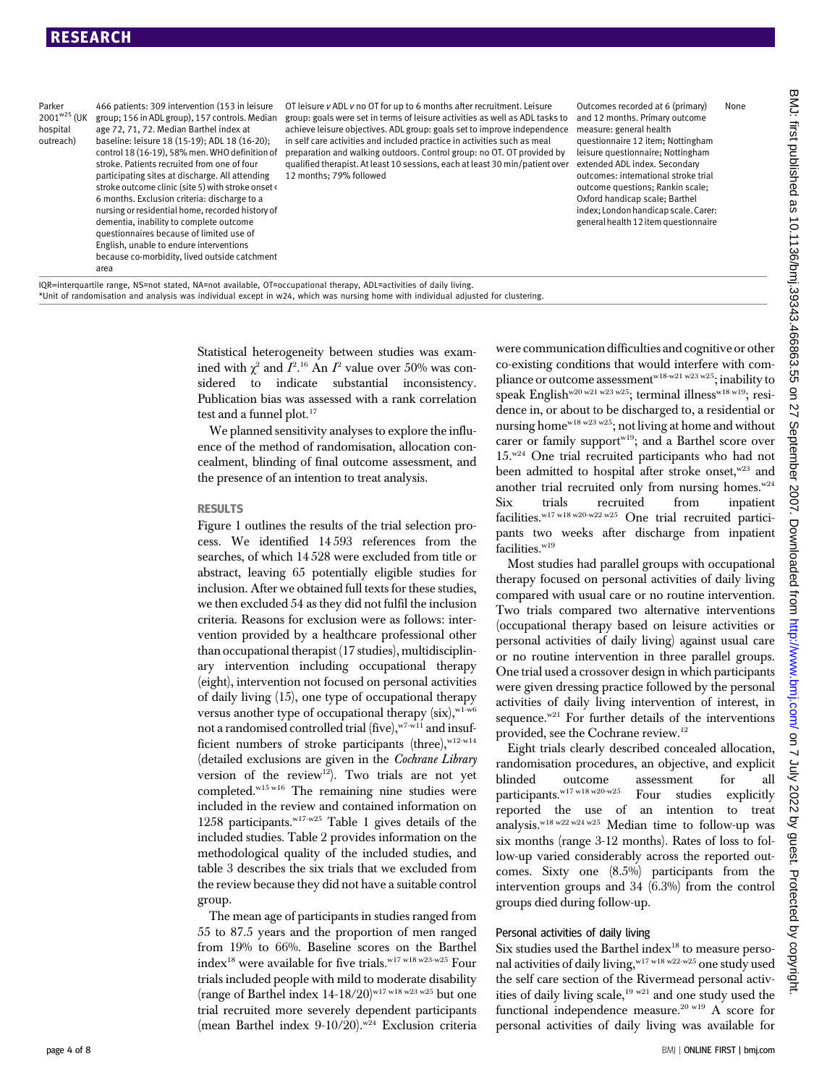Parker  $2001^{w25}$  (UK hospital outreach)

466 patients: 309 intervention (153 in leisure group; 156 in ADL group), 157 controls. Median age 72, 71, 72. Median Barthel index at baseline: leisure 18 (15-19); ADL 18 (16-20); control 18 (16-19), 58% men.WHO definition of stroke. Patients recruited from one of four participating sites at discharge. All attending stroke outcome clinic (site 5) with stroke onset < 6 months. Exclusion criteria: discharge to a nursing or residential home, recorded history of dementia, inability to complete outcome questionnaires because of limited use of English, unable to endure interventions because co-morbidity, lived outside catchment area

OT leisure v ADL v no OT for up to 6 months after recruitment. Leisure group: goals were set in terms of leisure activities as well as ADL tasks to achieve leisure objectives. ADL group: goals set to improve independence in self care activities and included practice in activities such as meal preparation and walking outdoors. Control group: no OT. OT provided by qualified therapist. At least 10 sessions, each at least 30 min/patient over 12 months; 79% followed

Outcomes recorded at 6 (primary) and 12 months. Primary outcome measure: general health questionnaire 12 item; Nottingham leisure questionnaire; Nottingham extended ADL index. Secondary outcomes: international stroke trial outcome questions; Rankin scale; Oxford handicap scale; Barthel index;London handicapscale.Carer: general health 12item questionnaire None

IQR=interquartile range, NS=not stated, NA=not available, OT=occupational therapy, ADL=activities of daily living. \*Unit of randomisation and analysis was individual except in w24, which was nursing home with individual adjusted for clustering.

> Statistical heterogeneity between studies was examined with  $\chi^2$  and  $I^{2.16}$  An  $I^2$  value over  $50\%$  was considered to indicate substantial inconsistency. Publication bias was assessed with a rank correlation test and a funnel plot.<sup>17</sup>

> We planned sensitivity analyses to explore the influence of the method of randomisation, allocation concealment, blinding of final outcome assessment, and the presence of an intention to treat analysis.

#### **RESULTS**

--------<br>Figure 1 outlines the results of the trial selection process. We identified 14 593 references from the searches, of which 14 528 were excluded from title or abstract, leaving 65 potentially eligible studies for inclusion. After we obtained full texts for these studies, we then excluded 54 as they did not fulfil the inclusion criteria. Reasons for exclusion were as follows: intervention provided by a healthcare professional other than occupational therapist (17 studies), multidisciplinary intervention including occupational therapy (eight), intervention not focused on personal activities of daily living (15), one type of occupational therapy versus another type of occupational therapy  $(six)$ , w<sup>1-w6</sup> not a randomised controlled trial (five),  $\frac{w^{7-w11}}{w^{7-w11}}$  and insufficient numbers of stroke participants (three), $w12-w14$ (detailed exclusions are given in the Cochrane Library version of the review<sup>12</sup>). Two trials are not yet completed.w15 w16 The remaining nine studies were included in the review and contained information on 1258 participants. $w^{17-w25}$  Table 1 gives details of the included studies. Table 2 provides information on the methodological quality of the included studies, and table 3 describes the six trials that we excluded from the review because they did not have a suitable control group.

The mean age of participants in studies ranged from 55 to 87.5 years and the proportion of men ranged from 19% to 66%. Baseline scores on the Barthel index<sup>18</sup> were available for five trials.<sup>w17 w18 w23-w25</sup> Four trials included people with mild to moderate disability (range of Barthel index  $14-18/20$ )<sup>w17 w18 w23 w25</sup> but one trial recruited more severely dependent participants (mean Barthel index 9-10/20). $\frac{w^{24}}{2}$  Exclusion criteria were communication difficulties and cognitive or other co-existing conditions that would interfere with compliance or outcome assessment<sup>w18-w21 w23 w25</sup>; inability to speak English<sup>w20 w21 w23 w25</sup>; terminal illness<sup>w18 w19</sup>; residence in, or about to be discharged to, a residential or nursing homew18 w23 w25; not living at home and without carer or family support<sup>w19</sup>; and a Barthel score over 15.w24 One trial recruited participants who had not been admitted to hospital after stroke onset,<sup>w23</sup> and another trial recruited only from nursing homes. $w^{24}$ Six trials recruited from inpatient facilities.<sup>w17 w18 w20-w22 w25</sup> One trial recruited participants two weeks after discharge from inpatient facilities.<sup>w19</sup>

Most studies had parallel groups with occupational therapy focused on personal activities of daily living compared with usual care or no routine intervention. Two trials compared two alternative interventions (occupational therapy based on leisure activities or personal activities of daily living) against usual care or no routine intervention in three parallel groups. One trial used a crossover design in which participants were given dressing practice followed by the personal activities of daily living intervention of interest, in sequence. $x^{21}$  For further details of the interventions provided, see the Cochrane review.12

Eight trials clearly described concealed allocation, randomisation procedures, an objective, and explicit blinded outcome assessment for all participants.w17 w18 w20-w25 Four studies explicitly reported the use of an intention to treat analysis.w18 w22 w24 w25 Median time to follow-up was six months (range 3-12 months). Rates of loss to follow-up varied considerably across the reported outcomes. Sixty one (8.5%) participants from the intervention groups and 34 (6.3%) from the control groups died during follow-up.

#### Personal activities of daily living

Six studies used the Barthel index<sup>18</sup> to measure personal activities of daily living, w<sup>17 w18 w22-w25</sup> one study used the self care section of the Rivermead personal activities of daily living scale,<sup>19 w21</sup> and one study used the functional independence measure.20 w19 A score for personal activities of daily living was available for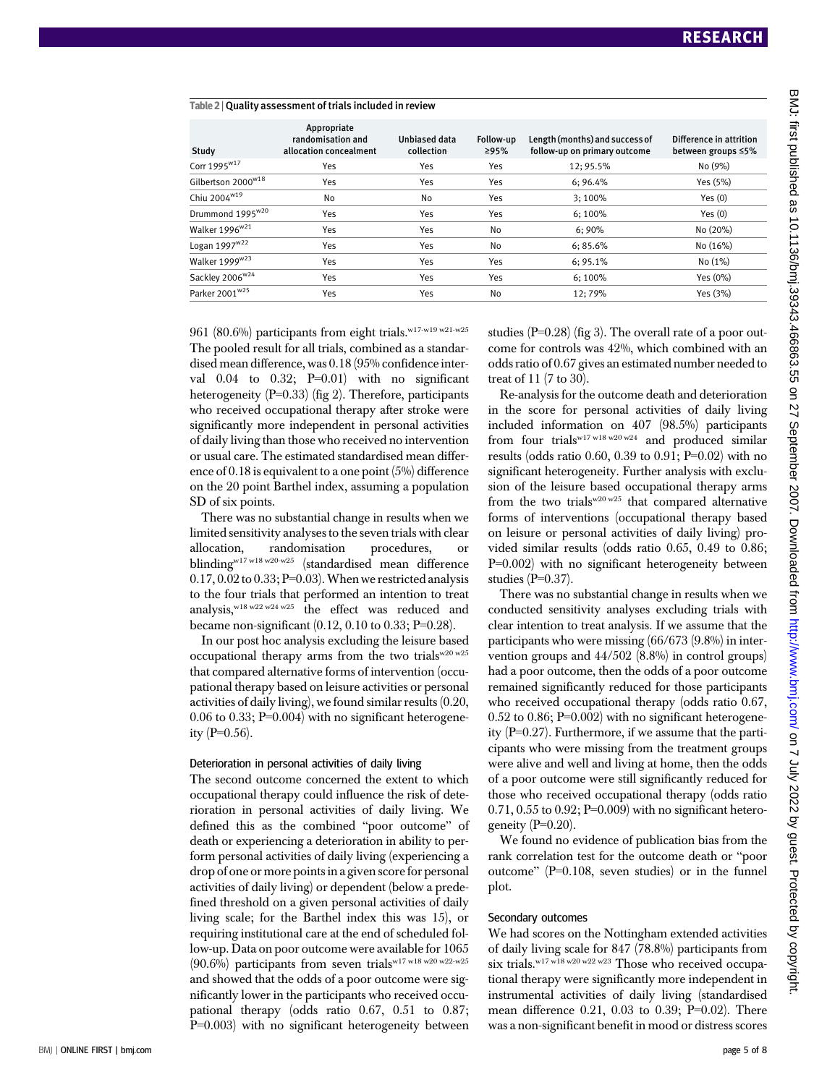#### Table 2 <sup>|</sup> Quality assessment of trials included in review

| Study                          | Appropriate<br>randomisation and<br>allocation concealment | Unbiased data<br>collection | Follow-up<br>295% | Length (months) and success of<br>follow-up on primary outcome | Difference in attrition<br>between groups $\leq 5\%$ |
|--------------------------------|------------------------------------------------------------|-----------------------------|-------------------|----------------------------------------------------------------|------------------------------------------------------|
| Corr 1995 <sup>w17</sup>       | Yes                                                        | Yes                         | Yes               | 12:95.5%                                                       | No (9%)                                              |
| Gilbertson 2000 <sup>w18</sup> | Yes                                                        | Yes                         | Yes               | 6:96.4%                                                        | Yes (5%)                                             |
| Chiu 2004 <sup>w19</sup>       | No                                                         | No                          | Yes               | 3:100%                                                         | Yes $(0)$                                            |
| Drummond 1995 <sup>w20</sup>   | Yes                                                        | Yes                         | Yes               | 6;100%                                                         | Yes $(0)$                                            |
| Walker 1996 <sup>w21</sup>     | Yes                                                        | Yes                         | No                | 6:90%                                                          | No (20%)                                             |
| Logan 1997 <sup>w22</sup>      | Yes                                                        | Yes                         | No                | 6:85.6%                                                        | No (16%)                                             |
| Walker 1999 <sup>w23</sup>     | Yes                                                        | Yes                         | Yes               | 6:95.1%                                                        | No (1%)                                              |
| Sackley 2006 <sup>w24</sup>    | Yes                                                        | Yes                         | Yes               | 6:100%                                                         | Yes (0%)                                             |
| Parker 2001 <sup>w25</sup>     | Yes                                                        | Yes                         | No                | 12:79%                                                         | Yes (3%)                                             |

961 (80.6%) participants from eight trials.<sup>w17-w19 w21-w25</sup> The pooled result for all trials, combined as a standardised mean difference, was 0.18 (95% confidence interval  $0.04$  to  $0.32$ ;  $P=0.01$  with no significant heterogeneity  $(P=0.33)$  (fig 2). Therefore, participants who received occupational therapy after stroke were significantly more independent in personal activities of daily living than those who received no intervention or usual care. The estimated standardised mean difference of 0.18 is equivalent to a one point  $(5\%)$  difference on the 20 point Barthel index, assuming a population SD of six points.

There was no substantial change in results when we limited sensitivity analyses to the seven trials with clear allocation, randomisation procedures, or blindingw17 w18 w20-w25 (standardised mean difference  $0.17, 0.02$  to  $0.33$ ; P=0.03). When we restricted analysis to the four trials that performed an intention to treat analysis,  $^{w18 w22 w24 w25}$  the effect was reduced and became non-significant  $(0.12, 0.10)$  to  $(0.33; P=0.28)$ .

In our post hoc analysis excluding the leisure based occupational therapy arms from the two trials $x^{20 w25}$ that compared alternative forms of intervention (occupational therapy based on leisure activities or personal activities of daily living), we found similar results (0.20, 0.06 to 0.33;  $P=0.004$  with no significant heterogeneity (P=0.56).

#### Deterioration in personal activities of daily living

The second outcome concerned the extent to which occupational therapy could influence the risk of deterioration in personal activities of daily living. We defined this as the combined "poor outcome" of death or experiencing a deterioration in ability to perform personal activities of daily living (experiencing a drop of one or more points in a given score for personal activities of daily living) or dependent (below a predefined threshold on a given personal activities of daily living scale; for the Barthel index this was 15), or requiring institutional care at the end of scheduled follow-up. Data on poor outcome were available for 1065 (90.6%) participants from seven trials<sup>w17 w18 w20 w22-w25</sup> and showed that the odds of a poor outcome were significantly lower in the participants who received occupational therapy (odds ratio 0.67, 0.51 to 0.87; P=0.003) with no significant heterogeneity between studies  $(P=0.28)$  (fig 3). The overall rate of a poor outcome for controls was 42%, which combined with an odds ratio of 0.67 gives an estimated number needed to treat of 11 (7 to 30).

Re-analysis for the outcome death and deterioration in the score for personal activities of daily living included information on 407 (98.5%) participants from four trials<sup>w17 w18 w20 w24</sup> and produced similar results (odds ratio 0.60, 0.39 to 0.91; P=0.02) with no significant heterogeneity. Further analysis with exclusion of the leisure based occupational therapy arms from the two trials $x^{20 w25}$  that compared alternative forms of interventions (occupational therapy based on leisure or personal activities of daily living) provided similar results (odds ratio 0.65, 0.49 to 0.86; P=0.002) with no significant heterogeneity between studies  $(P=0.37)$ .

There was no substantial change in results when we conducted sensitivity analyses excluding trials with clear intention to treat analysis. If we assume that the participants who were missing (66/673 (9.8%) in intervention groups and 44/502 (8.8%) in control groups) had a poor outcome, then the odds of a poor outcome remained significantly reduced for those participants who received occupational therapy (odds ratio 0.67,  $0.52$  to  $0.86$ ; P= $0.002$ ) with no significant heterogeneity  $(P=0.27)$ . Furthermore, if we assume that the participants who were missing from the treatment groups were alive and well and living at home, then the odds of a poor outcome were still significantly reduced for those who received occupational therapy (odds ratio  $0.71, 0.55$  to  $0.92$ ;  $P=0.009$ ) with no significant heterogeneity  $(P=0.20)$ .

We found no evidence of publication bias from the rank correlation test for the outcome death or "poor outcome" (P=0.108, seven studies) or in the funnel plot.

#### Secondary outcomes

We had scores on the Nottingham extended activities of daily living scale for 847 (78.8%) participants from six trials.<sup>w17 w18 w20 w22 w23</sup> Those who received occupational therapy were significantly more independent in instrumental activities of daily living (standardised mean difference 0.21, 0.03 to 0.39; P=0.02). There was a non-significant benefit in mood or distress scores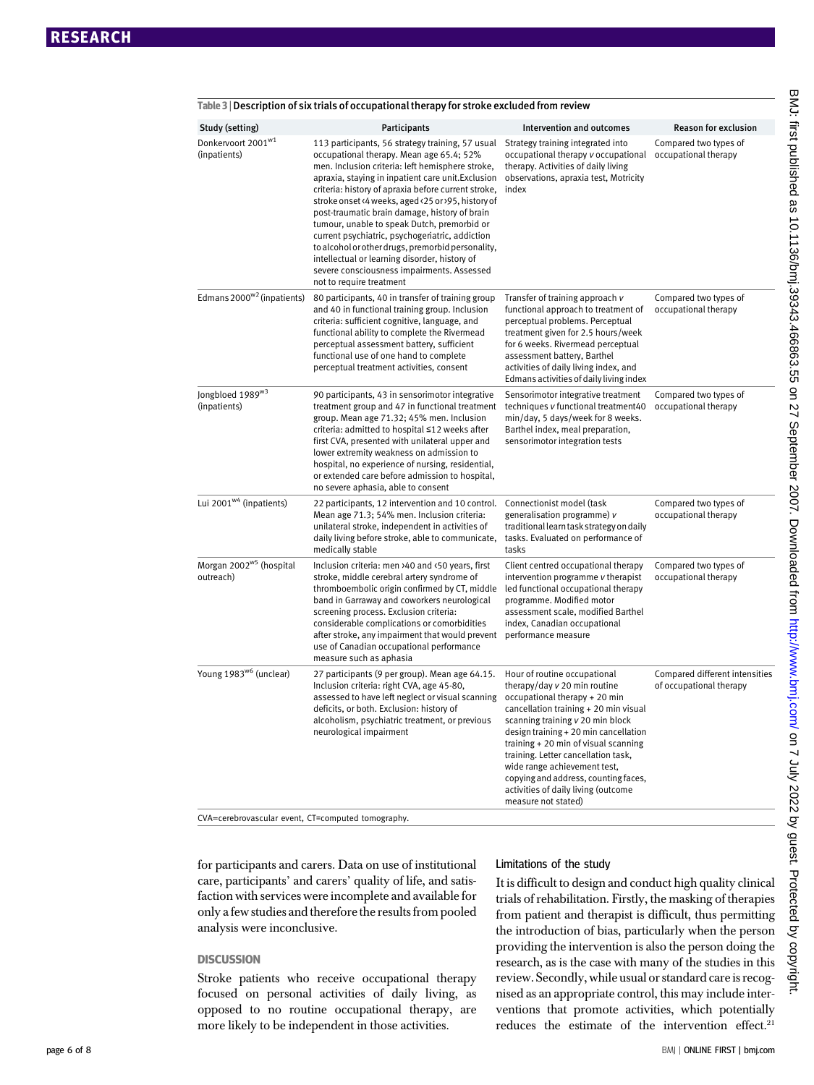| Study (setting)                                  | Participants                                                                                                                                                                                                                                                                                                                                                                                                                                                                                                                                                                                                                                          | <b>Intervention and outcomes</b>                                                                                                                                                                                                                                                                                                                                                                                                         | <b>Reason for exclusion</b>                               |
|--------------------------------------------------|-------------------------------------------------------------------------------------------------------------------------------------------------------------------------------------------------------------------------------------------------------------------------------------------------------------------------------------------------------------------------------------------------------------------------------------------------------------------------------------------------------------------------------------------------------------------------------------------------------------------------------------------------------|------------------------------------------------------------------------------------------------------------------------------------------------------------------------------------------------------------------------------------------------------------------------------------------------------------------------------------------------------------------------------------------------------------------------------------------|-----------------------------------------------------------|
| Donkervoort 2001 <sup>w1</sup><br>(inpatients)   | 113 participants, 56 strategy training, 57 usual<br>occupational therapy. Mean age 65.4; 52%<br>men. Inclusion criteria: left hemisphere stroke,<br>apraxia, staying in inpatient care unit. Exclusion<br>criteria: history of apraxia before current stroke,<br>stroke onset <4 weeks, aged <25 or>95, history of<br>post-traumatic brain damage, history of brain<br>tumour, unable to speak Dutch, premorbid or<br>current psychiatric, psychogeriatric, addiction<br>to alcohol or other drugs, premorbid personality,<br>intellectual or learning disorder, history of<br>severe consciousness impairments. Assessed<br>not to require treatment | Strategy training integrated into<br>occupational therapy v occupational<br>therapy. Activities of daily living<br>observations, apraxia test, Motricity<br>index                                                                                                                                                                                                                                                                        | Compared two types of<br>occupational therapy             |
| Edmans 2000 <sup>w2</sup> (inpatients)           | 80 participants, 40 in transfer of training group<br>and 40 in functional training group. Inclusion<br>criteria: sufficient cognitive, language, and<br>functional ability to complete the Rivermead<br>perceptual assessment battery, sufficient<br>functional use of one hand to complete<br>perceptual treatment activities, consent                                                                                                                                                                                                                                                                                                               | Transfer of training approach v<br>functional approach to treatment of<br>perceptual problems. Perceptual<br>treatment given for 2.5 hours/week<br>for 6 weeks. Rivermead perceptual<br>assessment battery, Barthel<br>activities of daily living index, and<br>Edmans activities of daily living index                                                                                                                                  | Compared two types of<br>occupational therapy             |
| Jongbloed 1989 <sup>w3</sup><br>(inpatients)     | 90 participants, 43 in sensorimotor integrative<br>treatment group and 47 in functional treatment<br>group. Mean age 71.32; 45% men. Inclusion<br>criteria: admitted to hospital ≤12 weeks after<br>first CVA, presented with unilateral upper and<br>lower extremity weakness on admission to<br>hospital, no experience of nursing, residential,<br>or extended care before admission to hospital,<br>no severe aphasia, able to consent                                                                                                                                                                                                            | Sensorimotor integrative treatment<br>techniques v functional treatment40<br>min/day, 5 days/week for 8 weeks.<br>Barthel index, meal preparation,<br>sensorimotor integration tests                                                                                                                                                                                                                                                     | Compared two types of<br>occupational therapy             |
| Lui 2001 <sup>w4</sup> (inpatients)              | 22 participants, 12 intervention and 10 control.<br>Mean age 71.3; 54% men. Inclusion criteria:<br>unilateral stroke, independent in activities of<br>daily living before stroke, able to communicate,<br>medically stable                                                                                                                                                                                                                                                                                                                                                                                                                            | Connectionist model (task<br>generalisation programme) v<br>traditional learn task strategy on daily<br>tasks. Evaluated on performance of<br>tasks                                                                                                                                                                                                                                                                                      | Compared two types of<br>occupational therapy             |
| Morgan 2002 <sup>w5</sup> (hospital<br>outreach) | Inclusion criteria: men >40 and <50 years, first<br>stroke, middle cerebral artery syndrome of<br>thromboembolic origin confirmed by CT, middle<br>band in Garraway and coworkers neurological<br>screening process. Exclusion criteria:<br>considerable complications or comorbidities<br>after stroke, any impairment that would prevent<br>use of Canadian occupational performance<br>measure such as aphasia                                                                                                                                                                                                                                     | Client centred occupational therapy<br>intervention programme v therapist<br>led functional occupational therapy<br>programme. Modified motor<br>assessment scale, modified Barthel<br>index, Canadian occupational<br>performance measure                                                                                                                                                                                               | Compared two types of<br>occupational therapy             |
| Young 1983 <sup>w6</sup> (unclear)               | 27 participants (9 per group). Mean age 64.15.<br>Inclusion criteria: right CVA, age 45-80,<br>assessed to have left neglect or visual scanning<br>deficits, or both. Exclusion: history of<br>alcoholism, psychiatric treatment, or previous<br>neurological impairment                                                                                                                                                                                                                                                                                                                                                                              | Hour of routine occupational<br>therapy/day v 20 min routine<br>occupational therapy + 20 min<br>cancellation training + 20 min visual<br>scanning training v 20 min block<br>design training + 20 min cancellation<br>training + 20 min of visual scanning<br>training. Letter cancellation task,<br>wide range achievement test,<br>copying and address, counting faces,<br>activities of daily living (outcome<br>measure not stated) | Compared different intensities<br>of occupational therapy |

CVA=cerebrovascular event, CT=computed tomography.

for participants and carers. Data on use of institutional care, participants' and carers' quality of life, and satisfaction with services were incomplete and available for only a few studies and therefore the results from pooled analysis were inconclusive.

Stroke patients who receive occupational therapy focused on personal activities of daily living, as opposed to no routine occupational therapy, are more likely to be independent in those activities.

## Limitations of the study

It is difficult to design and conduct high quality clinical trials of rehabilitation. Firstly, the masking of therapies from patient and therapist is difficult, thus permitting the introduction of bias, particularly when the person providing the intervention is also the person doing the research, as is the case with many of the studies in this review. Secondly, while usual or standard care is recognised as an appropriate control, this may include interventions that promote activities, which potentially reduces the estimate of the intervention effect.<sup>21</sup>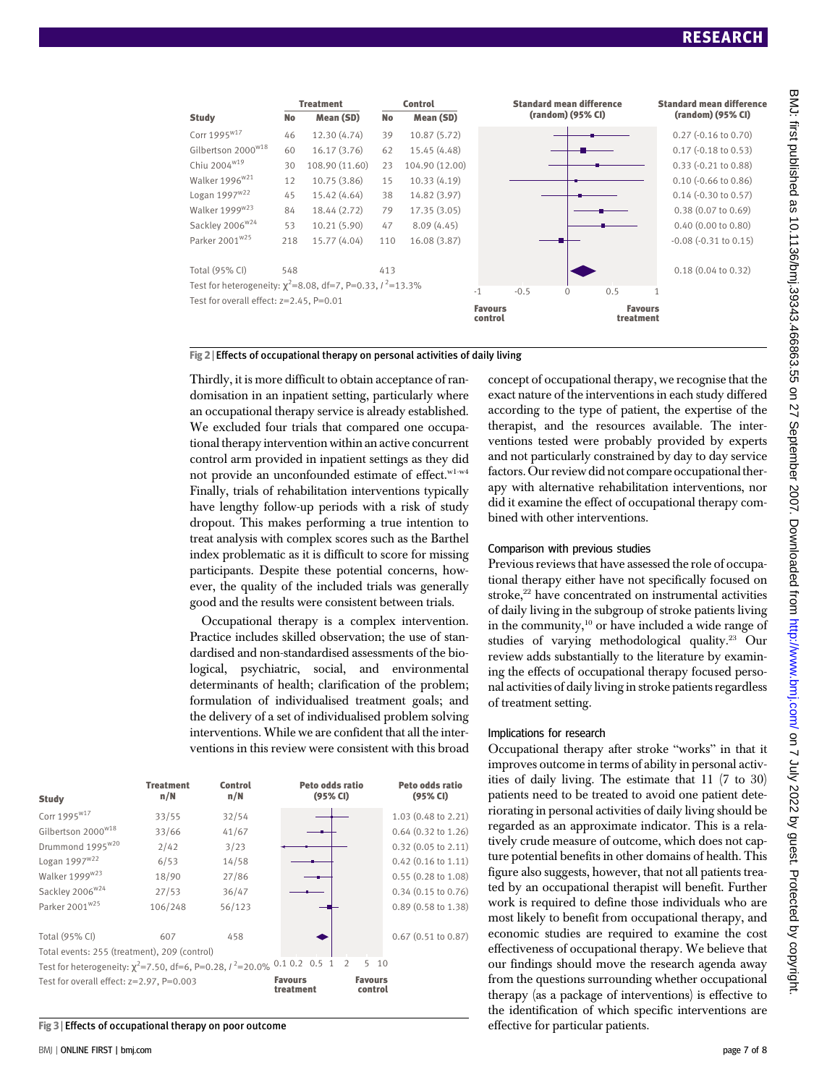

#### Fig 2 <sup>|</sup> Effects of occupational therapy on personal activities of daily living

Thirdly, it is more difficult to obtain acceptance of randomisation in an inpatient setting, particularly where an occupational therapy service is already established. We excluded four trials that compared one occupational therapy intervention within an active concurrent control arm provided in inpatient settings as they did not provide an unconfounded estimate of effect.<sup>w1-w4</sup> Finally, trials of rehabilitation interventions typically have lengthy follow-up periods with a risk of study dropout. This makes performing a true intention to treat analysis with complex scores such as the Barthel index problematic as it is difficult to score for missing participants. Despite these potential concerns, however, the quality of the included trials was generally good and the results were consistent between trials.

Occupational therapy is a complex intervention. Practice includes skilled observation; the use of standardised and non-standardised assessments of the biological, psychiatric, social, and environmental determinants of health; clarification of the problem; formulation of individualised treatment goals; and the delivery of a set of individualised problem solving interventions. While we are confident that all the interventions in this review were consistent with this broad

| <b>Study</b>                                                                   | <b>Treatment</b><br>n/N | <b>Control</b><br>n/N       | Peto odds ratio<br>(95% CI) | Peto odds ratio<br>(95% CI)   |
|--------------------------------------------------------------------------------|-------------------------|-----------------------------|-----------------------------|-------------------------------|
| Corr 1995 <sup>w17</sup>                                                       | 33/55                   | 32/54                       |                             | 1.03 (0.48 to 2.21)           |
| Gilbertson 2000 <sup>w18</sup>                                                 | 33/66                   | 41/67                       |                             | $0.64$ $(0.32$ to $1.26)$     |
| Drummond 1995 <sup>w20</sup>                                                   | 2/42                    | 3/23                        |                             | $0.32$ (0.05 to 2.11)         |
| Logan 1997 <sup>w22</sup>                                                      | 6/53                    | 14/58                       |                             | $0.42$ (0.16 to 1.11)         |
| Walker 1999 <sup>w23</sup>                                                     | 18/90                   | 27/86                       |                             | $0.55(0.28 \text{ to } 1.08)$ |
| Sackley 2006 <sup>w24</sup>                                                    | 27/53                   | 36/47                       |                             | 0.34 (0.15 to 0.76)           |
| Parker 2001 <sup>w25</sup>                                                     | 106/248                 | 56/123                      |                             | 0.89 (0.58 to 1.38)           |
| Total (95% CI)                                                                 | 607                     | 458                         |                             | $0.67$ $(0.51$ to $0.87)$     |
| Total events: 255 (treatment), 209 (control)                                   |                         |                             |                             |                               |
| Test for heterogeneity: $\chi^2$ =7.50, df=6, P=0.28, $l^2$ =20.0% 0.1 0.2 0.5 |                         |                             | $\mathfrak{D}$              | 5<br>10                       |
| Test for overall effect: $z=2.97$ , P=0.003                                    |                         | <b>Favours</b><br>treatment | <b>Favours</b><br>control   |                               |

Fig 3 <sup>|</sup> Effects of occupational therapy on poor outcome

concept of occupational therapy, we recognise that the exact nature of the interventions in each study differed according to the type of patient, the expertise of the therapist, and the resources available. The interventions tested were probably provided by experts and not particularly constrained by day to day service factors. Our review did not compare occupational therapy with alternative rehabilitation interventions, nor did it examine the effect of occupational therapy combined with other interventions.

#### Comparison with previous studies

Previous reviews that have assessed the role of occupational therapy either have not specifically focused on stroke,<sup>22</sup> have concentrated on instrumental activities of daily living in the subgroup of stroke patients living in the community,<sup>10</sup> or have included a wide range of studies of varying methodological quality.23 Our review adds substantially to the literature by examining the effects of occupational therapy focused personal activities of daily living in stroke patients regardless of treatment setting.

#### Implications for research

Occupational therapy after stroke "works" in that it improves outcome in terms of ability in personal activities of daily living. The estimate that 11 (7 to 30) patients need to be treated to avoid one patient deteriorating in personal activities of daily living should be regarded as an approximate indicator. This is a relatively crude measure of outcome, which does not capture potential benefits in other domains of health. This figure also suggests, however, that not all patients treated by an occupational therapist will benefit. Further work is required to define those individuals who are most likely to benefit from occupational therapy, and economic studies are required to examine the cost effectiveness of occupational therapy. We believe that our findings should move the research agenda away from the questions surrounding whether occupational therapy (as a package of interventions) is effective to the identification of which specific interventions are effective for particular patients.